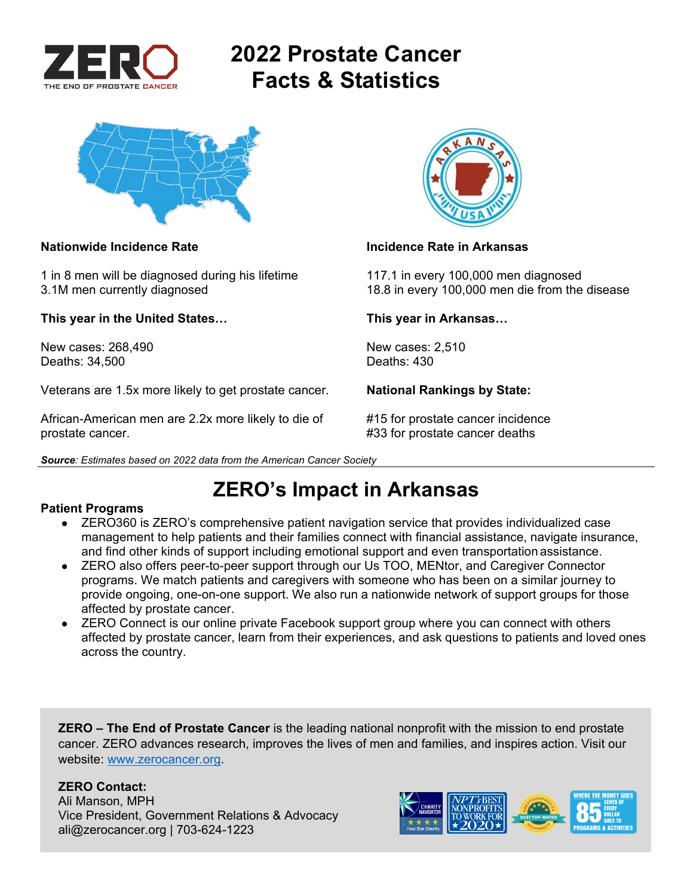

# **2022 Prostate Cancer Facts & Statistics**



1 in 8 men will be diagnosed during his lifetime 117.1 in every 100,000 men diagnosed

**This year in the United States… This year in Arkansas…** 

New cases: 268,490 New cases: 2,510 Deaths: 34,500

Veterans are 1.5x more likely to get prostate cancer. **National Rankings by State:** 

African-American men are 2.2x more likely to die of #15 for prostate cancer incidence prostate cancer. **All any struck is a set of the set of the set of the set of the set of the set of the set of the set of the set of the set of the set of the set of the set of the set of the set of the set of the set of t** 





#### **Nationwide Incidence Rate Incidence Rate in Arkansas**

3.1M men currently diagnosed 18.8 in every 100,000 men die from the disease

## **ZERO's Impact in Arkansas**

#### **Patient Programs**

- ZERO360 is ZERO's comprehensive patient navigation service that provides individualized case management to help patients and their families connect with financial assistance, navigate insurance, and find other kinds of support including emotional support and even transportation assistance.
- ZERO also offers peer-to-peer support through our Us TOO, MENtor, and Caregiver Connector programs. We match patients and caregivers with someone who has been on a similar journey to provide ongoing, one-on-one support. We also run a nationwide network of support groups for those affected by prostate cancer.
- ZERO Connect is our online private Facebook support group where you can connect with others affected by prostate cancer, learn from their experiences, and ask questions to patients and loved ones across the country.

**ZERO – The End of Prostate Cancer** is the leading national nonprofit with the mission to end prostate cancer. ZERO advances research, improves the lives of men and families, and inspires action. Visit our website: www.zerocancer.org.

### **ZERO Contact:**

Ali Manson, MPH Vice President, Government Relations & Advocacy ali@zerocancer.org | 703-624-1223

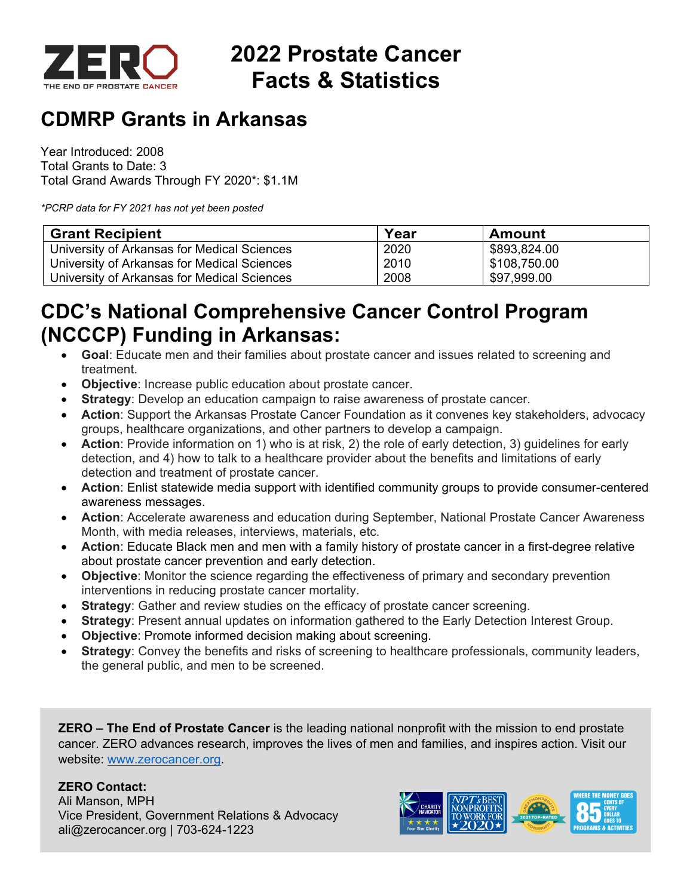

# **2022 Prostate Cancer Facts & Statistics**

## **CDMRP Grants in Arkansas**

Year Introduced: 2008 Total Grants to Date: 3 Total Grand Awards Through FY 2020\*: \$1.1M

*\*PCRP data for FY 2021 has not yet been posted* 

| <b>Grant Recipient</b>                      | Year | ∣ Amount     |
|---------------------------------------------|------|--------------|
| University of Arkansas for Medical Sciences | 2020 | \$893,824.00 |
| University of Arkansas for Medical Sciences | 2010 | \$108,750.00 |
| University of Arkansas for Medical Sciences | 2008 | \$97,999.00  |

## **CDC's National Comprehensive Cancer Control Program (NCCCP) Funding in Arkansas:**

- **Goal**: Educate men and their families about prostate cancer and issues related to screening and treatment.
- **Objective**: Increase public education about prostate cancer.
- **Strategy**: Develop an education campaign to raise awareness of prostate cancer.
- **Action**: Support the Arkansas Prostate Cancer Foundation as it convenes key stakeholders, advocacy groups, healthcare organizations, and other partners to develop a campaign.
- **Action**: Provide information on 1) who is at risk, 2) the role of early detection, 3) guidelines for early detection, and 4) how to talk to a healthcare provider about the benefits and limitations of early detection and treatment of prostate cancer.
- **Action**: Enlist statewide media support with identified community groups to provide consumer-centered awareness messages.
- **Action**: Accelerate awareness and education during September, National Prostate Cancer Awareness Month, with media releases, interviews, materials, etc.
- **Action**: Educate Black men and men with a family history of prostate cancer in a first-degree relative about prostate cancer prevention and early detection.
- **Objective**: Monitor the science regarding the effectiveness of primary and secondary prevention interventions in reducing prostate cancer mortality.
- **Strategy**: Gather and review studies on the efficacy of prostate cancer screening.
- **Strategy**: Present annual updates on information gathered to the Early Detection Interest Group.
- **Objective**: Promote informed decision making about screening.
- **Strategy:** Convey the benefits and risks of screening to healthcare professionals, community leaders, the general public, and men to be screened.

**ZERO – The End of Prostate Cancer** is the leading national nonprofit with the mission to end prostate cancer. ZERO advances research, improves the lives of men and families, and inspires action. Visit our website: www.zerocancer.org.

### **ZERO Contact:**

Ali Manson, MPH Vice President, Government Relations & Advocacy ali@zerocancer.org | 703-624-1223